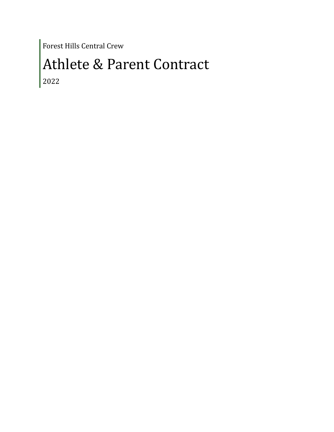Forest Hills Central Crew

# Athlete & Parent Contract 2022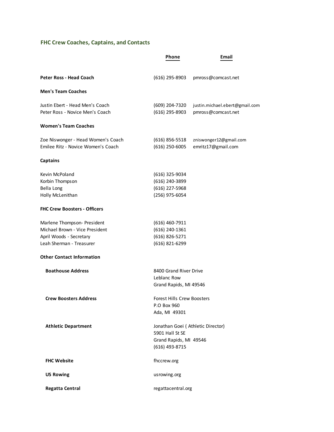# **FHC Crew Coaches, Captains, and Contacts**

|                                                                                                                      | Phone                                                                                             | Email                                                |
|----------------------------------------------------------------------------------------------------------------------|---------------------------------------------------------------------------------------------------|------------------------------------------------------|
| Peter Ross - Head Coach                                                                                              | (616) 295-8903                                                                                    | pmross@comcast.net                                   |
| <b>Men's Team Coaches</b>                                                                                            |                                                                                                   |                                                      |
| Justin Ebert - Head Men's Coach<br>Peter Ross - Novice Men's Coach                                                   | (609) 204-7320<br>$(616)$ 295-8903                                                                | justin.michael.ebert@gmail.com<br>pmross@comcast.net |
| <b>Women's Team Coaches</b>                                                                                          |                                                                                                   |                                                      |
| Zoe Niswonger - Head Women's Coach<br>Emilee Ritz - Novice Women's Coach                                             | (616) 856-5518<br>$(616)$ 250-6005                                                                | zniswonger12@gmail.com<br>emritz17@gmail.com         |
| <b>Captains</b>                                                                                                      |                                                                                                   |                                                      |
| Kevin McPoland<br>Korbin Thompson<br>Bella Long<br>Holly McLenithan                                                  | (616) 325-9034<br>(616) 240-3899<br>(616) 227-5968<br>(256) 975-6054                              |                                                      |
| <b>FHC Crew Boosters - Officers</b>                                                                                  |                                                                                                   |                                                      |
| Marlene Thompson- President<br>Michael Brown - Vice President<br>April Woods - Secretary<br>Leah Sherman - Treasurer | $(616)$ 460-7911<br>(616) 240-1361<br>(616) 826-5271<br>(616) 821-6299                            |                                                      |
| <b>Other Contact Information</b>                                                                                     |                                                                                                   |                                                      |
| <b>Boathouse Address</b>                                                                                             | 8400 Grand River Drive<br>Leblanc Row<br>Grand Rapids, MI 49546                                   |                                                      |
| <b>Crew Boosters Address</b>                                                                                         | Forest Hills Crew Boosters<br>P.O Box 960<br>Ada, MI 49301                                        |                                                      |
| <b>Athletic Department</b>                                                                                           | Jonathan Goei ( Athletic Director)<br>5901 Hall St SE<br>Grand Rapids, MI 49546<br>(616) 493-8715 |                                                      |
| <b>FHC Website</b>                                                                                                   | fhccrew.org                                                                                       |                                                      |
| <b>US Rowing</b>                                                                                                     | usrowing.org                                                                                      |                                                      |
| <b>Regatta Central</b>                                                                                               | regattacentral.org                                                                                |                                                      |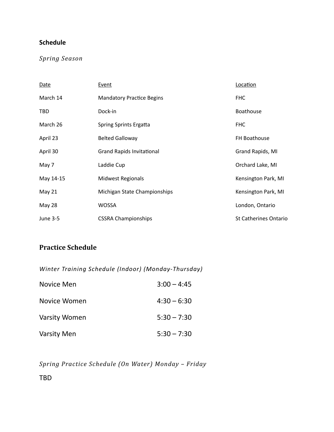# **Schedule**

# *Spring Season*

| Date          | <u>Event</u>                     | Location                     |
|---------------|----------------------------------|------------------------------|
| March 14      | <b>Mandatory Practice Begins</b> | <b>FHC</b>                   |
| TBD           | Dock-in                          | Boathouse                    |
| March 26      | Spring Sprints Ergatta           | <b>FHC</b>                   |
| April 23      | <b>Belted Galloway</b>           | <b>FH Boathouse</b>          |
| April 30      | <b>Grand Rapids Invitational</b> | Grand Rapids, MI             |
| May 7         | Laddie Cup                       | Orchard Lake, MI             |
| May 14-15     | <b>Midwest Regionals</b>         | Kensington Park, MI          |
| May 21        | Michigan State Championships     | Kensington Park, MI          |
| <b>May 28</b> | <b>WOSSA</b>                     | London, Ontario              |
| June 3-5      | <b>CSSRA Championships</b>       | <b>St Catherines Ontario</b> |

# **Practice Schedule**

*Winter Training Schedule (Indoor) (Monday-Thursday)*

| Novice Men         | $3:00 - 4:45$ |
|--------------------|---------------|
| Novice Women       | $4:30 - 6:30$ |
| Varsity Women      | $5:30 - 7:30$ |
| <b>Varsity Men</b> | $5:30 - 7:30$ |

*Spring Practice Schedule (On Water) Monday – Friday* TBD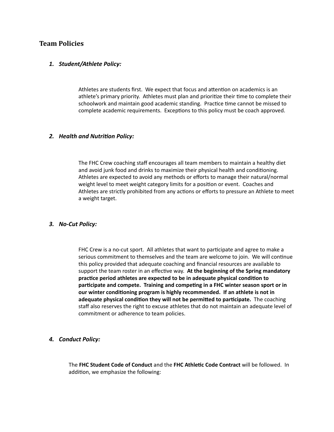# **Team Policies**

# *1. Student/Athlete Policy:*

Athletes are students first. We expect that focus and attention on academics is an athlete's primary priority. Athletes must plan and prioritize their time to complete their schoolwork and maintain good academic standing. Practice time cannot be missed to complete academic requirements. Exceptions to this policy must be coach approved.

# **2.** Health and Nutrition Policy:

The FHC Crew coaching staff encourages all team members to maintain a healthy diet and avoid junk food and drinks to maximize their physical health and conditioning. Athletes are expected to avoid any methods or efforts to manage their natural/normal weight level to meet weight category limits for a position or event. Coaches and Athletes are strictly prohibited from any actions or efforts to pressure an Athlete to meet a weight target.

#### *3. No-Cut Policy:*

FHC Crew is a no-cut sport. All athletes that want to participate and agree to make a serious commitment to themselves and the team are welcome to join. We will continue this policy provided that adequate coaching and financial resources are available to support the team roster in an effective way. At the beginning of the Spring mandatory practice period athletes are expected to be in adequate physical condition to participate and compete. Training and competing in a FHC winter season sport or in our winter conditioning program is highly recommended. If an athlete is not in adequate physical condition they will not be permitted to participate. The coaching staff also reserves the right to excuse athletes that do not maintain an adequate level of commitment or adherence to team policies.

# *4. Conduct Policy:*

The **FHC Student Code of Conduct** and the **FHC Athle6c Code Contract** will be followed. In addition, we emphasize the following: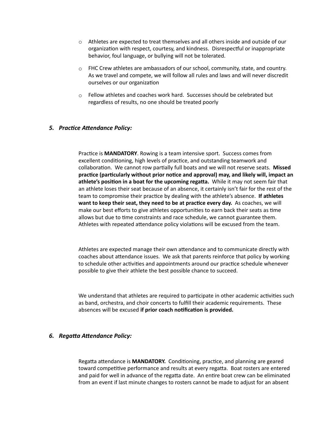- o Athletes are expected to treat themselves and all others inside and outside of our organization with respect, courtesy, and kindness. Disrespectful or inappropriate behavior, foul language, or bullying will not be tolerated.
- o FHC Crew athletes are ambassadors of our school, community, state, and country. As we travel and compete, we will follow all rules and laws and will never discredit ourselves or our organization
- $\circ$  Fellow athletes and coaches work hard. Successes should be celebrated but regardless of results, no one should be treated poorly

# **5. Practice Attendance Policy:**

Practice is **MANDATORY**. Rowing is a team intensive sport. Success comes from excellent conditioning, high levels of practice, and outstanding teamwork and collaboration. We cannot row partially full boats and we will not reserve seats. Missed practice (particularly without prior notice and approval) may, and likely will, impact an athlete's position in a boat for the upcoming regatta. While it may not seem fair that an athlete loses their seat because of an absence, it certainly isn't fair for the rest of the team to compromise their practice by dealing with the athlete's absence. If athletes **want to keep their seat, they need to be at practice every day.** As coaches, we will make our best efforts to give athletes opportunities to earn back their seats as time allows but due to time constraints and race schedule, we cannot guarantee them. Athletes with repeated attendance policy violations will be excused from the team.

Athletes are expected manage their own attendance and to communicate directly with coaches about attendance issues. We ask that parents reinforce that policy by working to schedule other activities and appointments around our practice schedule whenever possible to give their athlete the best possible chance to succeed.

We understand that athletes are required to participate in other academic activities such as band, orchestra, and choir concerts to fulfill their academic requirements. These absences will be excused if prior coach notification is provided.

#### **6.** Regatta Attendance Policy:

Regatta attendance is **MANDATORY.** Conditioning, practice, and planning are geared toward competitive performance and results at every regatta. Boat rosters are entered and paid for well in advance of the regatta date. An entire boat crew can be eliminated from an event if last minute changes to rosters cannot be made to adjust for an absent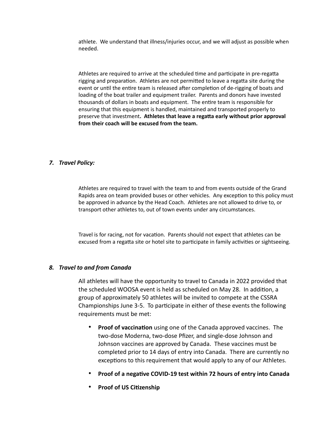athlete. We understand that illness/injuries occur, and we will adjust as possible when needed.

Athletes are required to arrive at the scheduled time and participate in pre-regatta rigging and preparation. Athletes are not permitted to leave a regatta site during the event or until the entire team is released after completion of de-rigging of boats and loading of the boat trailer and equipment trailer. Parents and donors have invested thousands of dollars in boats and equipment. The entire team is responsible for ensuring that this equipment is handled, maintained and transported properly to preserve that investment. Athletes that leave a regatta early without prior approval **from their coach will be excused from the team.**

# *7. Travel Policy:*

Athletes are required to travel with the team to and from events outside of the Grand Rapids area on team provided buses or other vehicles. Any exception to this policy must be approved in advance by the Head Coach. Athletes are not allowed to drive to, or transport other athletes to, out of town events under any circumstances.

Travel is for racing, not for vacation. Parents should not expect that athletes can be excused from a regatta site or hotel site to participate in family activities or sightseeing.

# *8. Travel to and from Canada*

All athletes will have the opportunity to travel to Canada in 2022 provided that the scheduled WOOSA event is held as scheduled on May 28. In addition, a group of approximately 50 athletes will be invited to compete at the CSSRA Championships June 3-5. To participate in either of these events the following requirements must be met:

- **Proof of vaccination** using one of the Canada approved vaccines. The two-dose Moderna, two-dose Pfizer, and single-dose Johnson and Johnson vaccines are approved by Canada. These vaccines must be completed prior to 14 days of entry into Canada. There are currently no exceptions to this requirement that would apply to any of our Athletes.
- Proof of a negative COVID-19 test within 72 hours of entry into Canada
- **•** Proof of US Citizenship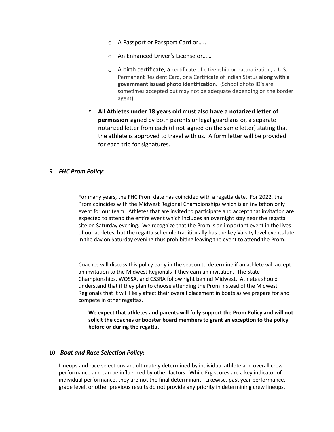- o A Passport or Passport Card or…..
- o An Enhanced Driver's License or……
- $\circ$  A birth certificate, a certificate of citizenship or naturalization, a U.S. Permanent Resident Card, or a Certificate of Indian Status along with a government issued photo identification. (School photo ID's are sometimes accepted but may not be adequate depending on the border agent).
- All Athletes under 18 years old must also have a notarized letter of **permission** signed by both parents or legal guardians or, a separate notarized letter from each (if not signed on the same letter) stating that the athlete is approved to travel with us. A form letter will be provided for each trip for signatures.

# *9. FHC Prom Policy:*

For many years, the FHC Prom date has coincided with a regatta date. For 2022, the Prom coincides with the Midwest Regional Championships which is an invitation only event for our team. Athletes that are invited to participate and accept that invitation are expected to attend the entire event which includes an overnight stay near the regatta site on Saturday evening. We recognize that the Prom is an important event in the lives of our athletes, but the regatta schedule traditionally has the key Varsity level events late in the day on Saturday evening thus prohibiting leaving the event to attend the Prom.

Coaches will discuss this policy early in the season to determine if an athlete will accept an invitation to the Midwest Regionals if they earn an invitation. The State Championships, WOSSA, and CSSRA follow right behind Midwest. Athletes should understand that if they plan to choose attending the Prom instead of the Midwest Regionals that it will likely affect their overall placement in boats as we prepare for and compete in other regattas.

**We expect that athletes and parents will fully support the Prom Policy and will not**  solicit the coaches or booster board members to grant an exception to the policy **before or during the regatta.** 

# 10. *Boat and Race Selection Policy:*

Lineups and race selections are ultimately determined by individual athlete and overall crew performance and can be influenced by other factors. While Erg scores are a key indicator of individual performance, they are not the final determinant. Likewise, past year performance, grade level, or other previous results do not provide any priority in determining crew lineups.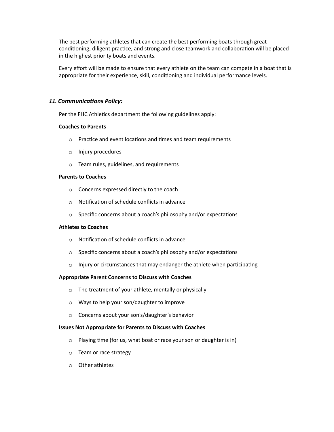The best performing athletes that can create the best performing boats through great conditioning, diligent practice, and strong and close teamwork and collaboration will be placed in the highest priority boats and events.

Every effort will be made to ensure that every athlete on the team can compete in a boat that is appropriate for their experience, skill, conditioning and individual performance levels.

# 11. Communications Policy:

Per the FHC Athletics department the following guidelines apply:

#### **Coaches to Parents**

- $\circ$  Practice and event locations and times and team requirements
- o Injury procedures
- o Team rules, guidelines, and requirements

#### **Parents to Coaches**

- o Concerns expressed directly to the coach
- $\circ$  Notification of schedule conflicts in advance
- $\circ$  Specific concerns about a coach's philosophy and/or expectations

#### **Athletes to Coaches**

- $\circ$  Notification of schedule conflicts in advance
- $\circ$  Specific concerns about a coach's philosophy and/or expectations
- $\circ$  Injury or circumstances that may endanger the athlete when participating

#### **Appropriate Parent Concerns to Discuss with Coaches**

- o The treatment of your athlete, mentally or physically
- o Ways to help your son/daughter to improve
- o Concerns about your son's/daughter's behavior

#### **Issues Not Appropriate for Parents to Discuss with Coaches**

- $\circ$  Playing time (for us, what boat or race your son or daughter is in)
- o Team or race strategy
- o Other athletes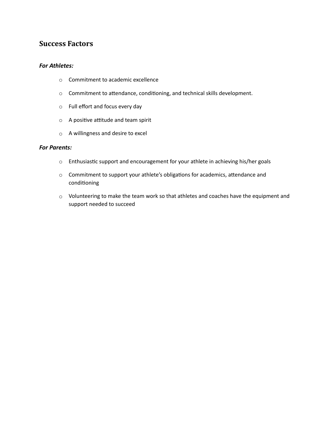# **Success Factors**

# *For Athletes:*

- o Commitment to academic excellence
- $\circ$  Commitment to attendance, conditioning, and technical skills development.
- o Full effort and focus every day
- $\circ$  A positive attitude and team spirit
- o A willingness and desire to excel

# *For Parents:*

- $\circ$  Enthusiastic support and encouragement for your athlete in achieving his/her goals
- $\circ$  Commitment to support your athlete's obligations for academics, attendance and conditioning
- o Volunteering to make the team work so that athletes and coaches have the equipment and support needed to succeed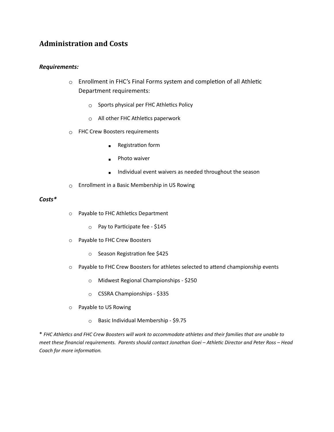# **Administration and Costs**

# *Requirements:*

- $\circ$  Enrollment in FHC's Final Forms system and completion of all Athletic Department requirements:
	- $\circ$  Sports physical per FHC Athletics Policy
	- $\circ$  All other FHC Athletics paperwork
- o FHC Crew Boosters requirements
	- Registration form
	- Photo waiver
	- Individual event waivers as needed throughout the season
- o Enrollment in a Basic Membership in US Rowing

# *Costs\**

- $\circ$  Payable to FHC Athletics Department
	- $\circ$  Pay to Participate fee \$145
- o Payable to FHC Crew Boosters
	- $\circ$  Season Registration fee \$425
- $\circ$  Payable to FHC Crew Boosters for athletes selected to attend championship events
	- o Midwest Regional Championships \$250
	- o CSSRA Championships \$335
- o Payable to US Rowing
	- o Basic Individual Membership \$9.75

\* *FHC Athle@cs and FHC Crew Boosters will work to accommodate athletes and their families that are unable to meet these financial requirements. Parents should contact Jonathan Goei – Athletic Director and Peter Ross – Head Coach for more information.*